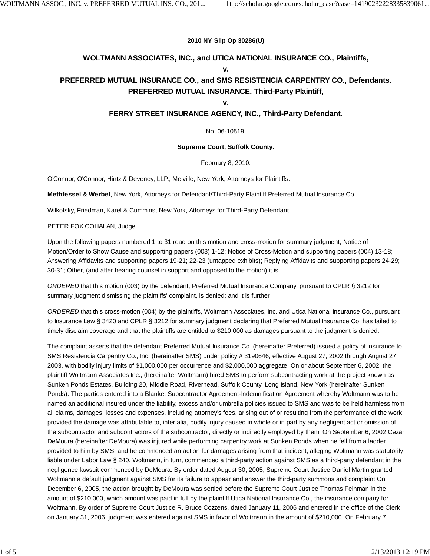#### **2010 NY Slip Op 30286(U)**

#### **WOLTMANN ASSOCIATES, INC., and UTICA NATIONAL INSURANCE CO., Plaintiffs, v.**

### **PREFERRED MUTUAL INSURANCE CO., and SMS RESISTENCIA CARPENTRY CO., Defendants. PREFERRED MUTUAL INSURANCE, Third-Party Plaintiff,**

#### **v.**

### **FERRY STREET INSURANCE AGENCY, INC., Third-Party Defendant.**

No. 06-10519.

#### **Supreme Court, Suffolk County.**

February 8, 2010.

O'Connor, O'Connor, Hintz & Deveney, LLP., Melville, New York, Attorneys for Plaintiffs.

**Methfessel** & **Werbel**, New York, Attorneys for Defendant/Third-Party Plaintiff Preferred Mutual Insurance Co.

Wilkofsky, Friedman, Karel & Cummins, New York, Attorneys for Third-Party Defendant.

#### PETER FOX COHALAN, Judge.

Upon the following papers numbered 1 to 31 read on this motion and cross-motion for summary judgment; Notice of Motion/Order to Show Cause and supporting papers (003) 1-12; Notice of Cross-Motion and supporting papers (004) 13-18; Answering Affidavits and supporting papers 19-21; 22-23 (untapped exhibits); Replying Affidavits and supporting papers 24-29; 30-31; Other, (and after hearing counsel in support and opposed to the motion) it is,

*ORDERED* that this motion (003) by the defendant, Preferred Mutual Insurance Company, pursuant to CPLR § 3212 for summary judgment dismissing the plaintiffs' complaint, is denied; and it is further

*ORDERED* that this cross-motion (004) by the plaintiffs, Woltmann Associates, Inc. and Utica National Insurance Co., pursuant to Insurance Law § 3420 and CPLR § 3212 for summary judgment declaring that Preferred Mutual Insurance Co. has failed to timely disclaim coverage and that the plaintiffs are entitled to \$210,000 as damages pursuant to the judgment is denied.

The complaint asserts that the defendant Preferred Mutual Insurance Co. (hereinafter Preferred) issued a policy of insurance to SMS Resistencia Carpentry Co., Inc. (hereinafter SMS) under policy # 3190646, effective August 27, 2002 through August 27, 2003, with bodily injury limits of \$1,000,000 per occurrence and \$2,000,000 aggregate. On or about September 6, 2002, the plaintiff Woltmann Associates Inc., (hereinafter Woltmann) hired SMS to perform subcontracting work at the project known as Sunken Ponds Estates, Building 20, Middle Road, Riverhead, Suffolk County, Long Island, New York (hereinafter Sunken Ponds). The parties entered into a Blanket Subcontractor Agreement-Indemnification Agreement whereby Woltmann was to be named an additional insured under the liability, excess and/or umbrella policies issued to SMS and was to be held harmless from all claims, damages, losses and expenses, including attorney's fees, arising out of or resulting from the performance of the work provided the damage was attributable to, inter alia, bodily injury caused in whole or in part by any negligent act or omission of the subcontractor and subcontractors of the subcontractor, directly or indirectly employed by them. On September 6, 2002 Cezar DeMoura (hereinafter DeMoura) was injured while performing carpentry work at Sunken Ponds when he fell from a ladder provided to him by SMS, and he commenced an action for damages arising from that incident, alleging Woltmann was statutorily liable under Labor Law § 240. Woltmann, in turn, commenced a third-party action against SMS as a third-party defendant in the negligence lawsuit commenced by DeMoura. By order dated August 30, 2005, Supreme Court Justice Daniel Martin granted Woltmann a default judgment against SMS for its failure to appear and answer the third-party summons and complaint On December 6, 2005, the action brought by DeMoura was settled before the Supreme Court Justice Thomas Feinman in the amount of \$210,000, which amount was paid in full by the plaintiff Utica National Insurance Co., the insurance company for Woltmann. By order of Supreme Court Justice R. Bruce Cozzens, dated January 11, 2006 and entered in the office of the Clerk on January 31, 2006, judgment was entered against SMS in favor of Woltmann in the amount of \$210,000. On February 7,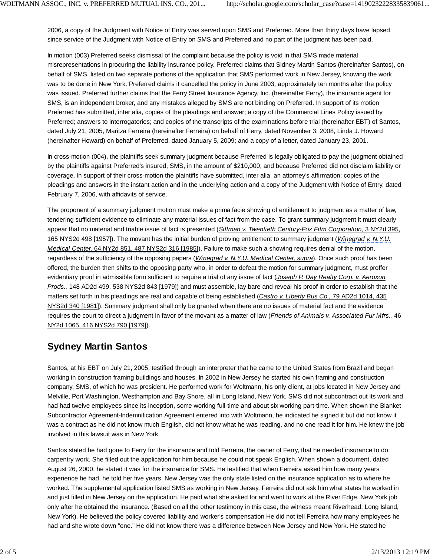2006, a copy of the Judgment with Notice of Entry was served upon SMS and Preferred. More than thirty days have lapsed since service of the Judgment with Notice of Entry on SMS and Preferred and no part of the judgment has been paid.

In motion (003) Preferred seeks dismissal of the complaint because the policy is void in that SMS made material misrepresentations in procuring the liability insurance policy. Preferred claims that Sidney Martin Santos (hereinafter Santos), on behalf of SMS, listed on two separate portions of the application that SMS performed work in New Jersey, knowing the work was to be done in New York. Preferred claims it cancelled the policy in June 2003, approximately ten months after the policy was issued. Preferred further claims that the Ferry Street Insurance Agency, Inc. (hereinafter Ferry), the insurance agent for SMS, is an independent broker, and any mistakes alleged by SMS are not binding on Preferred. In support of its motion Preferred has submitted, inter alia, copies of the pleadings and answer; a copy of the Commercial Lines Policy issued by Preferred; answers to interrogatories; and copies of the transcripts of the examinations before trial (hereinafter EBT) of Santos, dated July 21, 2005, Maritza Ferreira (hereinafter Ferreira) on behalf of Ferry, dated November 3, 2008, Linda J. Howard (hereinafter Howard) on behalf of Preferred, dated January 5, 2009; and a copy of a letter, dated January 23, 2001.

In cross-motion (004), the plaintiffs seek summary judgment because Preferred is legally obligated to pay the judgment obtained by the plaintiffs against Preferred's insured, SMS, in the amount of \$210,000, and because Preferred did not disclaim liability or coverage. In support of their cross-motion the plaintiffs have submitted, inter alia, an attorney's affirmation; copies of the pleadings and answers in the instant action and in the underlying action and a copy of the Judgment with Notice of Entry, dated February 7, 2006, with affidavits of service.

The proponent of a summary judgment motion must make a prima facie showing of entitlement to judgment as a matter of law, tendering sufficient evidence to eliminate any material issues of fact from the case. To grant summary judgment it must clearly appear that no material and triable issue of fact is presented (*Sillman v. Twentieth Century-Fox Film Corporation,* 3 NY2d 395, 165 NYS2d 498 [1957]). The movant has the initial burden of proving entitlement to summary judgment (*Winegrad v. N.Y.U. Medical Center,* 64 NY2d 851, 487 NYS2d 316 [1985]). Failure to make such a showing requires denial of the motion, regardless of the sufficiency of the opposing papers (*Winegrad v. N.Y.U. Medical Center, supra*). Once such proof has been offered, the burden then shifts to the opposing party who, in order to defeat the motion for summary judgment, must proffer evidentiary proof in admissible form sufficient to require a trial of any issue of fact (*Joseph P. Day Realty Corp. v. Aeroxon Prods.,* 148 AD2d 499, 538 NYS2d 843 [1979]) and must assemble, lay bare and reveal his proof in order to establish that the matters set forth in his pleadings are real and capable of being established (*Castro v. Liberty Bus Co.,* 79 AD2d 1014, 435 NYS2d 340 [1981]). Summary judgment shall only be granted when there are no issues of material fact and the evidence requires the court to direct a judgment in favor of the movant as a matter of law (*Friends of Animals v. Associated Fur Mfrs.,* 46 NY2d 1065, 416 NYS2d 790 [1979]).

### **Sydney Martin Santos**

Santos, at his EBT on July 21, 2005, testified through an interpreter that he came to the United States from Brazil and began working in construction framing buildings and houses. In 2002 in New Jersey he started his own framing and construction company, SMS, of which he was president. He performed work for Woltmann, his only client, at jobs located in New Jersey and Melville, Port Washington, Westhampton and Bay Shore, all in Long Island, New York. SMS did not subcontract out its work and had had twelve employees since its inception, some working full-time and about six working part-time. When shown the Blanket Subcontractor Agreement-Indemnification Agreement entered into with Woltmann, he indicated he signed it but did not know it was a contract as he did not know much English, did not know what he was reading, and no one read it for him. He knew the job involved in this lawsuit was in New York.

Santos stated he had gone to Ferry for the insurance and told Ferreira, the owner of Ferry, that he needed insurance to do carpentry work. She filled out the application for him because he could not speak English. When shown a document, dated August 26, 2000, he stated it was for the insurance for SMS. He testified that when Ferreira asked him how many years experience he had, he told her five years. New Jersey was the only state listed on the insurance application as to where he worked. The supplemental application listed SMS as working in New Jersey. Ferreira did not ask him what states he worked in and just filled in New Jersey on the application. He paid what she asked for and went to work at the River Edge, New York job only after he obtained the insurance. (Based on all the other testimony in this case, the witness meant Riverhead, Long Island, New York). He believed the policy covered liability and worker's compensation He did not tell Ferreira how many employees he had and she wrote down "one." He did not know there was a difference between New Jersey and New York. He stated he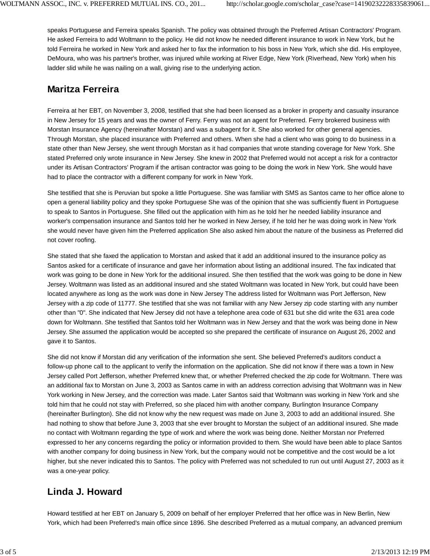speaks Portuguese and Ferreira speaks Spanish. The policy was obtained through the Preferred Artisan Contractors' Program. He asked Ferreira to add Woltmann to the policy. He did not know he needed different insurance to work in New York, but he told Ferreira he worked in New York and asked her to fax the information to his boss in New York, which she did. His employee, DeMoura, who was his partner's brother, was injured while working at River Edge, New York (Riverhead, New York) when his ladder slid while he was nailing on a wall, giving rise to the underlying action.

## **Maritza Ferreira**

Ferreira at her EBT, on November 3, 2008, testified that she had been licensed as a broker in property and casualty insurance in New Jersey for 15 years and was the owner of Ferry. Ferry was not an agent for Preferred. Ferry brokered business with Morstan Insurance Agency (hereinafter Morstan) and was a subagent for it. She also worked for other general agencies. Through Morstan, she placed insurance with Preferred and others. When she had a client who was going to do business in a state other than New Jersey, she went through Morstan as it had companies that wrote standing coverage for New York. She stated Preferred only wrote insurance in New Jersey. She knew in 2002 that Preferred would not accept a risk for a contractor under its Artisan Contractors' Program if the artisan contractor was going to be doing the work in New York. She would have had to place the contractor with a different company for work in New York.

She testified that she is Peruvian but spoke a little Portuguese. She was familiar with SMS as Santos came to her office alone to open a general liability policy and they spoke Portuguese She was of the opinion that she was sufficiently fluent in Portuguese to speak to Santos in Portuguese. She filled out the application with him as he told her he needed liability insurance and worker's compensation insurance and Santos told her he worked in New Jersey, if he told her he was doing work in New York she would never have given him the Preferred application She also asked him about the nature of the business as Preferred did not cover roofing.

She stated that she faxed the application to Morstan and asked that it add an additional insured to the insurance policy as Santos asked for a certificate of insurance and gave her information about listing an additional insured. The fax indicated that work was going to be done in New York for the additional insured. She then testified that the work was going to be done in New Jersey. Woltmann was listed as an additional insured and she stated Woltmann was located in New York, but could have been located anywhere as long as the work was done in New Jersey The address listed for Woltmann was Port Jefferson, New Jersey with a zip code of 11777. She testified that she was not familiar with any New Jersey zip code starting with any number other than "0". She indicated that New Jersey did not have a telephone area code of 631 but she did write the 631 area code down for Woltmann. She testified that Santos told her Woltmann was in New Jersey and that the work was being done in New Jersey. She assumed the application would be accepted so she prepared the certificate of insurance on August 26, 2002 and gave it to Santos.

She did not know if Morstan did any verification of the information she sent. She believed Preferred's auditors conduct a follow-up phone call to the applicant to verify the information on the application. She did not know if there was a town in New Jersey called Port Jefferson, whether Preferred knew that, or whether Preferred checked the zip code for Woltmann. There was an additional fax to Morstan on June 3, 2003 as Santos came in with an address correction advising that Woltmann was in New York working in New Jersey, and the correction was made. Later Santos said that Woltmann was working in New York and she told him that he could not stay with Preferred, so she placed him with another company, Burlington Insurance Company (hereinafter Burlington). She did not know why the new request was made on June 3, 2003 to add an additional insured. She had nothing to show that before June 3, 2003 that she ever brought to Morstan the subject of an additional insured. She made no contact with Woltmann regarding the type of work and where the work was being done. Neither Morstan nor Preferred expressed to her any concerns regarding the policy or information provided to them. She would have been able to place Santos with another company for doing business in New York, but the company would not be competitive and the cost would be a lot higher, but she never indicated this to Santos. The policy with Preferred was not scheduled to run out until August 27, 2003 as it was a one-year policy.

# **Linda J. Howard**

Howard testified at her EBT on January 5, 2009 on behalf of her employer Preferred that her office was in New Berlin, New York, which had been Preferred's main office since 1896. She described Preferred as a mutual company, an advanced premium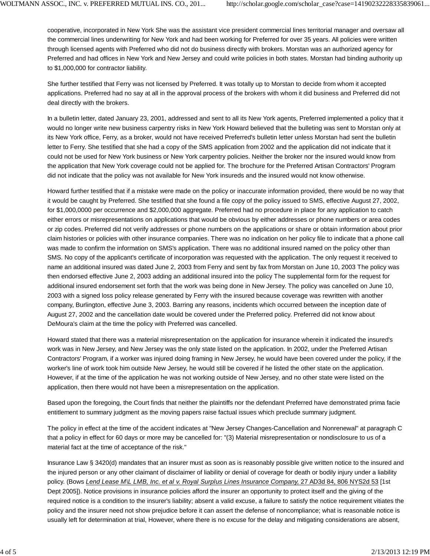cooperative, incorporated in New York She was the assistant vice president commercial lines territorial manager and oversaw all the commercial lines underwriting for New York and had been working for Preferred for over 35 years. All policies were written through licensed agents with Preferred who did not do business directly with brokers. Morstan was an authorized agency for Preferred and had offices in New York and New Jersey and could write policies in both states. Morstan had binding authority up to \$1,000,000 for contractor liability.

She further testified that Ferry was not licensed by Preferred. It was totally up to Morstan to decide from whom it accepted applications. Preferred had no say at all in the approval process of the brokers with whom it did business and Preferred did not deal directly with the brokers.

In a bulletin letter, dated January 23, 2001, addressed and sent to all its New York agents, Preferred implemented a policy that it would no longer write new business carpentry risks in New York Howard believed that the bulleting was sent to Morstan only at its New York office, Ferry, as a broker, would not have received Preferred's bulletin letter unless Morstan had sent the bulletin letter to Ferry. She testified that she had a copy of the SMS application from 2002 and the application did not indicate that it could not be used for New York business or New York carpentry policies. Neither the broker nor the insured would know from the application that New York coverage could not be applied for. The brochure for the Preferred Artisan Contractors' Program did not indicate that the policy was not available for New York insureds and the insured would not know otherwise.

Howard further testified that if a mistake were made on the policy or inaccurate information provided, there would be no way that it would be caught by Preferred. She testified that she found a file copy of the policy issued to SMS, effective August 27, 2002, for \$1,000,0000 per occurrence and \$2,000,000 aggregate. Preferred had no procedure in place for any application to catch either errors or misrepresentations on applications that would be obvious by either addresses or phone numbers or area codes or zip codes. Preferred did not verify addresses or phone numbers on the applications or share or obtain information about prior claim histories or policies with other insurance companies. There was no indication on her policy file to indicate that a phone call was made to confirm the information on SMS's application. There was no additional insured named on the policy other than SMS. No copy of the applicant's certificate of incorporation was requested with the application. The only request it received to name an additional insured was dated June 2, 2003 from Ferry and sent by fax from Morstan on June 10, 2003 The policy was then endorsed effective June 2, 2003 adding an additional insured into the policy The supplemental form for the request for additional insured endorsement set forth that the work was being done in New Jersey. The policy was cancelled on June 10, 2003 with a signed loss policy release generated by Ferry with the insured because coverage was rewritten with another company, Burlington, effective June 3, 2003. Barring any reasons, incidents which occurred between the inception date of August 27, 2002 and the cancellation date would be covered under the Preferred policy. Preferred did not know about DeMoura's claim at the time the policy with Preferred was cancelled.

Howard stated that there was a material misrepresentation on the application for insurance wherein it indicated the insured's work was in New Jersey, and New Jersey was the only state listed on the application. In 2002, under the Preferred Artisan Contractors' Program, if a worker was injured doing framing in New Jersey, he would have been covered under the policy, if the worker's line of work took him outside New Jersey, he would still be covered if he listed the other state on the application. However, if at the time of the application he was not working outside of New Jersey, and no other state were listed on the application, then there would not have been a misrepresentation on the application.

Based upon the foregoing, the Court finds that neither the plaintiffs nor the defendant Preferred have demonstrated prima facie entitlement to summary judgment as the moving papers raise factual issues which preclude summary judgment.

The policy in effect at the time of the accident indicates at "New Jersey Changes-Cancellation and Nonrenewal" at paragraph C that a policy in effect for 60 days or more may be cancelled for: "(3) Material misrepresentation or nondisclosure to us of a material fact at the time of acceptance of the risk."

Insurance Law § 3420(d) mandates that an insurer must as soon as is reasonably possible give written notice to the insured and the injured person or any other claimant of disclaimer of liability or denial of coverage for death or bodily injury under a liability policy. (Bows *Lend Lease M\L LMB, Inc. et al v. Royal Surplus Lines Insurance Company,* 27 AD3d 84, 806 NYS2d 53 [1st Dept 2005]). Notice provisions in insurance policies afford the insurer an opportunity to protect itself and the giving of the required notice is a condition to the insurer's liability; absent a valid excuse, a failure to satisfy the notice requirement vitiates the policy and the insurer need not show prejudice before it can assert the defense of noncompliance; what is reasonable notice is usually left for determination at trial, However, where there is no excuse for the delay and mitigating considerations are absent,